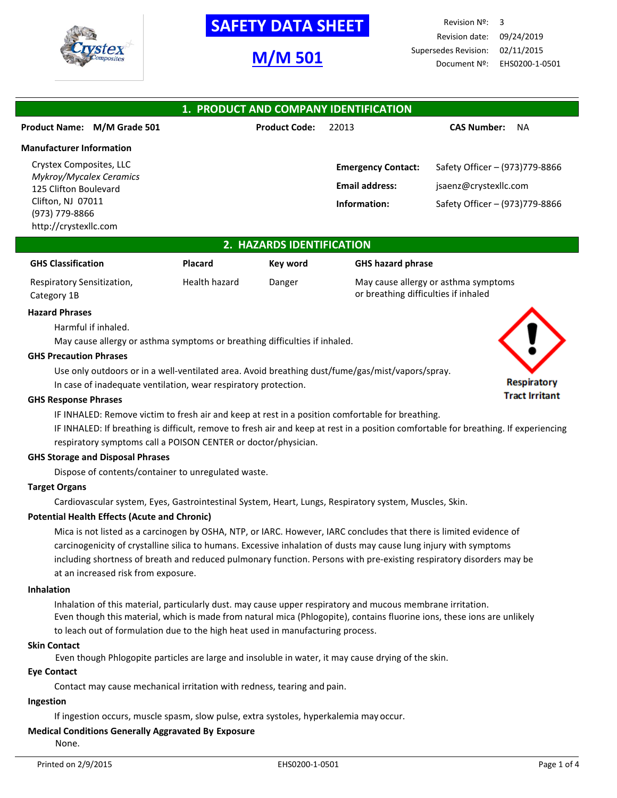

# **SAFETY DATA SHEET**

# **M/M 501**

Revision Nº: 3 Revision date: 09/24/2019 Supersedes Revision: 02/11/2015 Document Nº: EHS0200-1-0501

| 1. PRODUCT AND COMPANY IDENTIFICATION            |                      |                           |                                |  |  |  |  |
|--------------------------------------------------|----------------------|---------------------------|--------------------------------|--|--|--|--|
| Product Name: M/M Grade 501                      | <b>Product Code:</b> | 22013                     | <b>CAS Number:</b><br>NA       |  |  |  |  |
| <b>Manufacturer Information</b>                  |                      |                           |                                |  |  |  |  |
| Crystex Composites, LLC                          |                      | <b>Emergency Contact:</b> | Safety Officer - (973)779-8866 |  |  |  |  |
| Mykroy/Mycalex Ceramics<br>125 Clifton Boulevard |                      | <b>Email address:</b>     | jsaenz@crystexllc.com          |  |  |  |  |
| Clifton, NJ 07011                                |                      | Information:              | Safety Officer - (973)779-8866 |  |  |  |  |
| (973) 779-8866<br>http://crystexllc.com          |                      |                           |                                |  |  |  |  |

### **2. HAZARDS IDENTIFICATION**

| <b>GHS Classification</b>  | <b>Placard</b> | Key word | <b>GHS hazard phrase</b>             |
|----------------------------|----------------|----------|--------------------------------------|
| Respiratory Sensitization, | Health hazard  | Danger   | May cause allergy or asthma symptoms |
| Category 1B                |                |          | or breathing difficulties if inhaled |

# **Hazard Phrases**

Harmful if inhaled.

May cause allergy or asthma symptoms or breathing difficulties if inhaled.

### **GHS Precaution Phrases**

Use only outdoors or in a well-ventilated area. Avoid breathing dust/fume/gas/mist/vapors/spray.

In case of inadequate ventilation, wear respiratory protection.

### **GHS Response Phrases**

IF INHALED: Remove victim to fresh air and keep at rest in a position comfortable for breathing.

IF INHALED: If breathing is difficult, remove to fresh air and keep at rest in a position comfortable for breathing. If experiencing respiratory symptoms call a POISON CENTER or doctor/physician.

### **GHS Storage and Disposal Phrases**

Dispose of contents/container to unregulated waste.

### **Target Organs**

Cardiovascular system, Eyes, Gastrointestinal System, Heart, Lungs, Respiratory system, Muscles, Skin.

### **Potential Health Effects (Acute and Chronic)**

Mica is not listed as a carcinogen by OSHA, NTP, or IARC. However, IARC concludes that there is limited evidence of carcinogenicity of crystalline silica to humans. Excessive inhalation of dusts may cause lung injury with symptoms including shortness of breath and reduced pulmonary function. Persons with pre-existing respiratory disorders may be at an increased risk from exposure.

### **Inhalation**

Inhalation of this material, particularly dust. may cause upper respiratory and mucous membrane irritation. Even though this material, which is made from natural mica (Phlogopite), contains fluorine ions, these ions are unlikely to leach out of formulation due to the high heat used in manufacturing process.

### **Skin Contact**

Even though Phlogopite particles are large and insoluble in water, it may cause drying of the skin.

### **Eye Contact**

Contact may cause mechanical irritation with redness, tearing and pain.

### **Ingestion**

If ingestion occurs, muscle spasm, slow pulse, extra systoles, hyperkalemia may occur.

## **Medical Conditions Generally Aggravated By Exposure**

None.

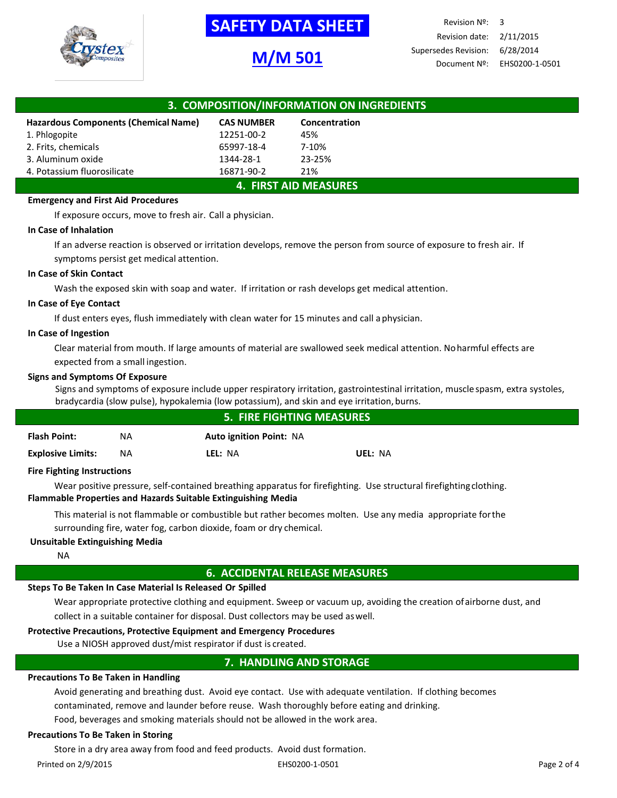

# **-SAFETY DATA SHEET-**

# **M/M 501**

Revision Nº: 3 Revision date: 2/11/2015 Supersedes Revision: 6/28/2014 Document Nº: EHS0200-1-0501

| 3. COMPOSITION/INFORMATION ON INGREDIENTS |                   |               |  |  |
|-------------------------------------------|-------------------|---------------|--|--|
| Hazardous Components (Chemical Name)      | <b>CAS NUMBER</b> | Concentration |  |  |
| 1. Phlogopite                             | 12251-00-2        | 45%           |  |  |
| 2. Frits, chemicals                       | 65997-18-4        | 7-10%         |  |  |
| 3. Aluminum oxide                         | 1344-28-1         | 23-25%        |  |  |
| 4. Potassium fluorosilicate               | 16871-90-2        | 21%           |  |  |
| <b>4. FIRST AID MEASURES</b>              |                   |               |  |  |

### **Emergency and First Aid Procedures**

If exposure occurs, move to fresh air. Call a physician.

### **In Case of Inhalation**

If an adverse reaction is observed or irritation develops, remove the person from source of exposure to fresh air. If symptoms persist get medical attention.

### **In Case of Skin Contact**

Wash the exposed skin with soap and water. If irritation or rash develops get medical attention.

### **In Case of Eye Contact**

If dust enters eyes, flush immediately with clean water for 15 minutes and call aphysician.

### **In Case of Ingestion**

Clear material from mouth. If large amounts of material are swallowed seek medical attention. Noharmful effects are expected from a small ingestion.

### **Signs and Symptoms Of Exposure**

Signs and symptoms of exposure include upper respiratory irritation, gastrointestinal irritation, muscle spasm, extra systoles, bradycardia (slow pulse), hypokalemia (low potassium), and skin and eye irritation, burns.

| <b>5. FIRE FIGHTING MEASURES</b>  |     |                                |         |  |
|-----------------------------------|-----|--------------------------------|---------|--|
| <b>Flash Point:</b>               | NA  | <b>Auto ignition Point: NA</b> |         |  |
| <b>Explosive Limits:</b>          | NA. | LEL: NA                        | UEL: NA |  |
| <b>Fire Fighting Instructions</b> |     |                                |         |  |

### **Fire Fighting Instructions**

Wear positive pressure, self-contained breathing apparatus for firefighting. Use structural firefightingclothing. **Flammable Properties and Hazards Suitable Extinguishing Media**

This material is not flammable or combustible but rather becomes molten. Use any media appropriate forthe surrounding fire, water fog, carbon dioxide, foam or dry chemical.

### **Unsuitable Extinguishing Media**

NA

## **6. ACCIDENTAL RELEASE MEASURES**

# **Steps To Be Taken In Case Material Is Released Or Spilled**

Wear appropriate protective clothing and equipment. Sweep or vacuum up, avoiding the creation ofairborne dust, and collect in a suitable container for disposal. Dust collectors may be used aswell.

# **Protective Precautions, Protective Equipment and Emergency Procedures**

Use a NIOSH approved dust/mist respirator if dust is created.

# **7. HANDLING AND STORAGE**

# **Precautions To Be Taken in Handling**

Avoid generating and breathing dust. Avoid eye contact. Use with adequate ventilation. If clothing becomes contaminated, remove and launder before reuse. Wash thoroughly before eating and drinking.

Food, beverages and smoking materials should not be allowed in the work area.

# **Precautions To Be Taken in Storing**

Store in a dry area away from food and feed products. Avoid dust formation.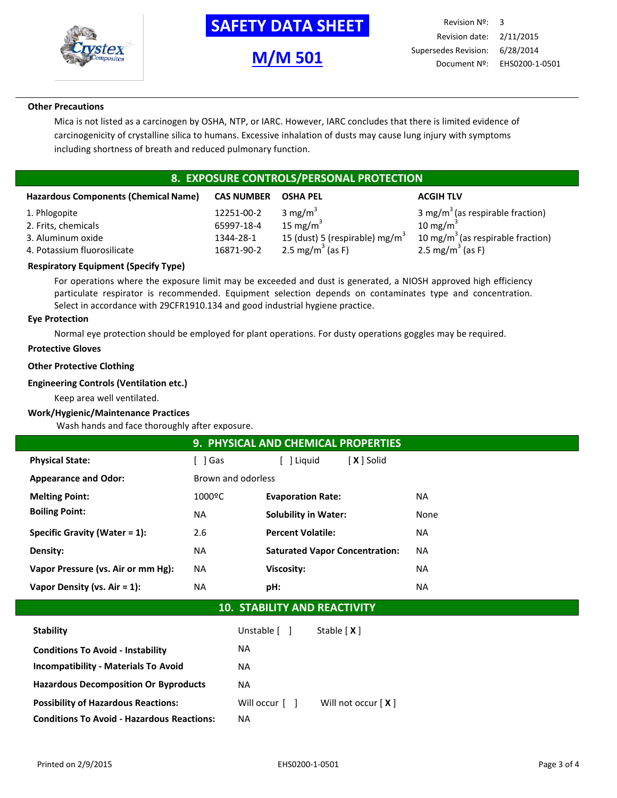

# **-SAFETY DATA SHEET-**

**M/M 501**

### **Other Precautions**

Mica is not listed as a carcinogen by OSHA, NTP, or IARC. However, IARC concludes that there is limited evidence of carcinogenicity of crystalline silica to humans. Excessive inhalation of dusts may cause lung injury with symptoms including shortness of breath and reduced pulmonary function.

# **8. EXPOSURE CONTROLS/PERSONAL PROTECTION**

| <b>Hazardous Components (Chemical Name)</b> | <b>CAS NUMBER</b> | <b>OSHA PEL</b>                            | <b>ACGIH TLV</b>                              |
|---------------------------------------------|-------------------|--------------------------------------------|-----------------------------------------------|
| 1. Phlogopite                               | 12251-00-2        | 3 mg/ $m^3$                                | 3 mg/m <sup>3</sup> (as respirable fraction)  |
| 2. Frits, chemicals                         | 65997-18-4        | 15 mg/m $3$                                | 10 mg/m $3$                                   |
| 3. Aluminum oxide                           | 1344-28-1         | 15 (dust) 5 (respirable) mg/m <sup>3</sup> | 10 mg/m <sup>3</sup> (as respirable fraction) |
| 4. Potassium fluorosilicate                 | 16871-90-2        | 2.5 mg/m <sup>3</sup> (as F)               | 2.5 mg/m <sup>3</sup> (as F)                  |

### **Respiratory Equipment (Specify Type)**

For operations where the exposure limit may be exceeded and dust is generated, a NIOSH approved high efficiency particulate respirator is recommended. Equipment selection depends on contaminates type and concentration. Select in accordance with 29CFR1910.134 and good industrial hygiene practice.

### **Eye Protection**

Normal eye protection should be employed for plant operations. For dusty operations goggles may be required.

### **Protective Gloves**

### **Other Protective Clothing**

### **Engineering Controls (Ventilation etc.)**

Keep area well ventilated.

### **Work/Hygienic/Maintenance Practices**

Wash hands and face thoroughly after exposure.

| 9. PHYSICAL AND CHEMICAL PROPERTIES |                    |                                                |           |  |  |  |
|-------------------------------------|--------------------|------------------------------------------------|-----------|--|--|--|
| <b>Physical State:</b>              | l Gas              | $X$ $\overline{\phantom{a}}$ Solid<br>  Liguid |           |  |  |  |
| <b>Appearance and Odor:</b>         | Brown and odorless |                                                |           |  |  |  |
| <b>Melting Point:</b>               | 1000ºC             | <b>Evaporation Rate:</b>                       | NA.       |  |  |  |
| <b>Boiling Point:</b>               | NA                 | <b>Solubility in Water:</b>                    | None      |  |  |  |
| Specific Gravity (Water $= 1$ ):    | 2.6                | <b>Percent Volatile:</b>                       | NA.       |  |  |  |
| Density:                            | NA                 | <b>Saturated Vapor Concentration:</b>          | <b>NA</b> |  |  |  |
| Vapor Pressure (vs. Air or mm Hg):  | NA                 | <b>Viscosity:</b>                              | NA.       |  |  |  |
| Vapor Density (vs. $Air = 1$ ):     | NA.                | pH:                                            | <b>NA</b> |  |  |  |

# **10. STABILITY AND REACTIVITY**

| <b>Stability</b>                                  | Unstable [ ]   | Stable $[X]$         |
|---------------------------------------------------|----------------|----------------------|
| <b>Conditions To Avoid - Instability</b>          | NA.            |                      |
| <b>Incompatibility - Materials To Avoid</b>       | NA.            |                      |
| <b>Hazardous Decomposition Or Byproducts</b>      | NA.            |                      |
| <b>Possibility of Hazardous Reactions:</b>        | Will occur [ ] | Will not occur $[X]$ |
| <b>Conditions To Avoid - Hazardous Reactions:</b> | NA.            |                      |